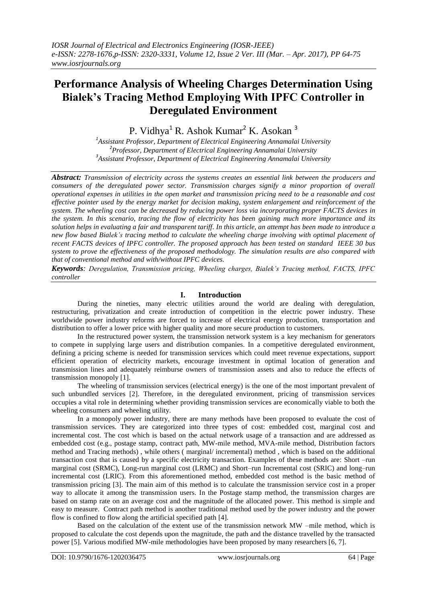# **Performance Analysis of Wheeling Charges Determination Using Bialek's Tracing Method Employing With IPFC Controller in Deregulated Environment**

P. Vidhya<sup>1</sup> R. Ashok Kumar<sup>2</sup> K. Asokan<sup>3</sup>

*1 Assistant Professor, Department of Electrical Engineering Annamalai University 2 Professor, Department of Electrical Engineering Annamalai University 3 Assistant Professor, Department of Electrical Engineering Annamalai University*

*Abstract: Transmission of electricity across the systems creates an essential link between the producers and consumers of the deregulated power sector. Transmission charges signify a minor proportion of overall operational expenses in utilities in the open market and transmission pricing need to be a reasonable and cost effective pointer used by the energy market for decision making, system enlargement and reinforcement of the system. The wheeling cost can be decreased by reducing power loss via incorporating proper FACTS devices in the system. In this scenario, tracing the flow of electricity has been gaining much more importance and its solution helps in evaluating a fair and transparent tariff. In this article, an attempt has been made to introduce a new flow based Bialek's tracing method to calculate the wheeling charge involving with optimal placement of recent FACTS devices of IPFC controller. The proposed approach has been tested on standard IEEE 30 bus system to prove the effectiveness of the proposed methodology. The simulation results are also compared with that of conventional method and with/without IPFC devices.*

*Keywords: Deregulation, Transmission pricing, Wheeling charges, Bialek's Tracing method, FACTS, IPFC controller*

## **I. Introduction**

During the nineties, many electric utilities around the world are dealing with deregulation, restructuring, privatization and create introduction of competition in the electric power industry. These worldwide power industry reforms are forced to increase of electrical energy production, transportation and distribution to offer a lower price with higher quality and more secure production to customers.

In the restructured power system, the transmission network system is a key mechanism for generators to compete in supplying large users and distribution companies. In a competitive deregulated environment, defining a pricing scheme is needed for transmission services which could meet revenue expectations, support efficient operation of electricity markets, encourage investment in optimal location of generation and transmission lines and adequately reimburse owners of transmission assets and also to reduce the effects of transmission monopoly [1].

The wheeling of transmission services (electrical energy) is the one of the most important prevalent of such unbundled services [2]. Therefore, in the deregulated environment, pricing of transmission services occupies a vital role in determining whether providing transmission services are economically viable to both the wheeling consumers and wheeling utility.

In a monopoly power industry, there are many methods have been proposed to evaluate the cost of transmission services. They are categorized into three types of cost: embedded cost, marginal cost and incremental cost. The cost which is based on the actual network usage of a transaction and are addressed as embedded cost (e.g., postage stamp, contract path, MW-mile method, MVA-mile method, Distribution factors method and Tracing methods) , while others ( marginal/ incremental) method , which is based on the additional transaction cost that is caused by a specific electricity transaction. Examples of these methods are: Short –run marginal cost (SRMC), Long-run marginal cost (LRMC) and Short–run Incremental cost (SRIC) and long–run incremental cost (LRIC). From this aforementioned method, embedded cost method is the basic method of transmission pricing [3]. The main aim of this method is to calculate the transmission service cost in a proper way to allocate it among the transmission users. In the Postage stamp method, the transmission charges are based on stamp rate on an average cost and the magnitude of the allocated power. This method is simple and easy to measure. Contract path method is another traditional method used by the power industry and the power flow is confined to flow along the artificial specified path [4].

Based on the calculation of the extent use of the transmission network MW –mile method, which is proposed to calculate the cost depends upon the magnitude, the path and the distance travelled by the transacted power [5]. Various modified MW-mile methodologies have been proposed by many researchers [6, 7].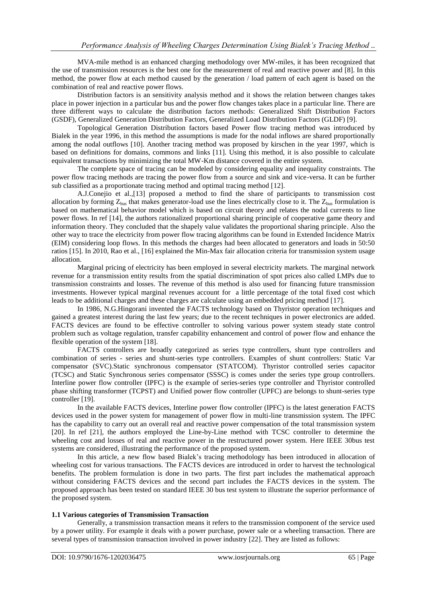MVA-mile method is an enhanced charging methodology over MW-miles, it has been recognized that the use of transmission resources is the best one for the measurement of real and reactive power and [8]. In this method, the power flow at each method caused by the generation / load pattern of each agent is based on the combination of real and reactive power flows.

Distribution factors is an sensitivity analysis method and it shows the relation between changes takes place in power injection in a particular bus and the power flow changes takes place in a particular line. There are three different ways to calculate the distribution factors methods: Generalized Shift Distribution Factors (GSDF), Generalized Generation Distribution Factors, Generalized Load Distribution Factors (GLDF) [9].

Topological Generation Distribution factors based Power flow tracing method was introduced by Bialek in the year 1996, in this method the assumptions is made for the nodal inflows are shared proportionally among the nodal outflows [10]. Another tracing method was proposed by kirschen in the year 1997, which is based on definitions for domains, commons and links [11]. Using this method, it is also possible to calculate equivalent transactions by minimizing the total MW-Km distance covered in the entire system.

The complete space of tracing can be modeled by considering equality and inequality constraints. The power flow tracing methods are tracing the power flow from a source and sink and vice-versa. It can be further sub classified as a proportionate tracing method and optimal tracing method [12].

A.J.Conejio et al.,[13] proposed a method to find the share of participants to transmission cost allocation by forming  $Z_{bus}$  that makes generator-load use the lines electrically close to it. The  $Z_{bus}$  formulation is based on mathematical behavior model which is based on circuit theory and relates the nodal currents to line power flows. In ref [14], the authors rationalized proportional sharing principle of cooperative game theory and information theory. They concluded that the shapely value validates the proportional sharing principle. Also the other way to trace the electricity from power flow tracing algorithms can be found in Extended Incidence Matrix (EIM) considering loop flows. In this methods the charges had been allocated to generators and loads in 50:50 ratios [15]. In 2010, Rao et al., [16] explained the Min-Max fair allocation criteria for transmission system usage allocation.

Marginal pricing of electricity has been employed in several electricity markets. The marginal network revenue for a transmission entity results from the spatial discrimination of spot prices also called LMPs due to transmission constraints and losses. The revenue of this method is also used for financing future transmission investments. However typical marginal revenues account for a little percentage of the total fixed cost which leads to be additional charges and these charges are calculate using an embedded pricing method [17].

In 1986, N.G.Hingorani invented the FACTS technology based on Thyristor operation techniques and gained a greatest interest during the last few years; due to the recent techniques in power electronics are added. FACTS devices are found to be effective controller to solving various power system steady state control problem such as voltage regulation, transfer capability enhancement and control of power flow and enhance the flexible operation of the system [18].

FACTS controllers are broadly categorized as series type controllers, shunt type controllers and combination of series - series and shunt-series type controllers. Examples of shunt controllers: Static Var compensator (SVC).Static synchronous compensator (STATCOM). Thyristor controlled series capacitor (TCSC) and Static Synchronous series compensator (SSSC) is comes under the series type group controllers. Interline power flow controller (IPFC) is the example of series-series type controller and Thyristor controlled phase shifting transformer (TCPST) and Unified power flow controller (UPFC) are belongs to shunt-series type controller [19].

In the available FACTS devices, Interline power flow controller (IPFC) is the latest generation FACTS devices used in the power system for management of power flow in multi-line transmission system. The IPFC has the capability to carry out an overall real and reactive power compensation of the total transmission system [20]. In ref [21], the authors employed the Line-by-Line method with TCSC controller to determine the wheeling cost and losses of real and reactive power in the restructured power system. Here IEEE 30bus test systems are considered, illustrating the performance of the proposed system.

In this article, a new flow based Bialek's tracing methodology has been introduced in allocation of wheeling cost for various transactions. The FACTS devices are introduced in order to harvest the technological benefits. The problem formulation is done in two parts. The first part includes the mathematical approach without considering FACTS devices and the second part includes the FACTS devices in the system. The proposed approach has been tested on standard IEEE 30 bus test system to illustrate the superior performance of the proposed system.

#### **1.1 Various categories of Transmission Transaction**

Generally, a transmission transaction means it refers to the transmission component of the service used by a power utility. For example it deals with a power purchase, power sale or a wheeling transaction. There are several types of transmission transaction involved in power industry [22]. They are listed as follows: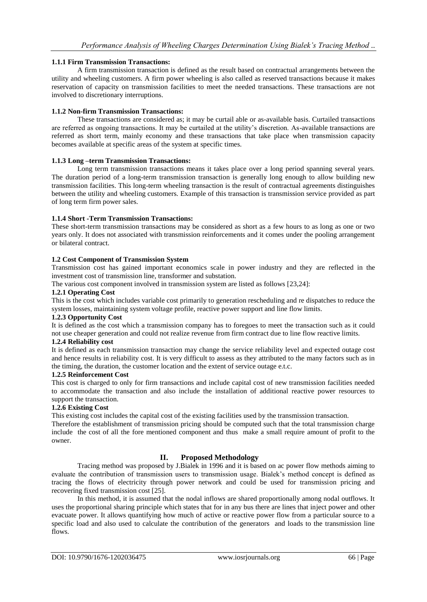## **1.1.1 Firm Transmission Transactions:**

A firm transmission transaction is defined as the result based on contractual arrangements between the utility and wheeling customers. A firm power wheeling is also called as reserved transactions because it makes reservation of capacity on transmission facilities to meet the needed transactions. These transactions are not involved to discretionary interruptions.

#### **1.1.2 Non-firm Transmission Transactions:**

These transactions are considered as; it may be curtail able or as-available basis. Curtailed transactions are referred as ongoing transactions. It may be curtailed at the utility's discretion. As-available transactions are referred as short term, mainly economy and these transactions that take place when transmission capacity becomes available at specific areas of the system at specific times.

#### **1.1.3 Long –term Transmission Transactions:**

Long term transmission transactions means it takes place over a long period spanning several years. The duration period of a long-term transmission transaction is generally long enough to allow building new transmission facilities. This long-term wheeling transaction is the result of contractual agreements distinguishes between the utility and wheeling customers. Example of this transaction is transmission service provided as part of long term firm power sales.

#### **1.1.4 Short -Term Transmission Transactions:**

These short-term transmission transactions may be considered as short as a few hours to as long as one or two years only. It does not associated with transmission reinforcements and it comes under the pooling arrangement or bilateral contract.

#### **1.2 Cost Component of Transmission System**

Transmission cost has gained important economics scale in power industry and they are reflected in the investment cost of transmission line, transformer and substation.

The various cost component involved in transmission system are listed as follows [23,24]:

## **1.2.1 Operating Cost**

This is the cost which includes variable cost primarily to generation rescheduling and re dispatches to reduce the system losses, maintaining system voltage profile, reactive power support and line flow limits.

#### **1.2.3 Opportunity Cost**

It is defined as the cost which a transmission company has to foregoes to meet the transaction such as it could not use cheaper generation and could not realize revenue from firm contract due to line flow reactive limits.

## **1.2.4 Reliability cost**

It is defined as each transmission transaction may change the service reliability level and expected outage cost and hence results in reliability cost. It is very difficult to assess as they attributed to the many factors such as in the timing, the duration, the customer location and the extent of service outage e.t.c.

#### **1.2.5 Reinforcement Cost**

This cost is charged to only for firm transactions and include capital cost of new transmission facilities needed to accommodate the transaction and also include the installation of additional reactive power resources to support the transaction.

#### **1.2.6 Existing Cost**

This existing cost includes the capital cost of the existing facilities used by the transmission transaction.

Therefore the establishment of transmission pricing should be computed such that the total transmission charge include the cost of all the fore mentioned component and thus make a small require amount of profit to the owner.

## **II. Proposed Methodology**

Tracing method was proposed by J.Bialek in 1996 and it is based on ac power flow methods aiming to evaluate the contribution of transmission users to transmission usage. Bialek's method concept is defined as tracing the flows of electricity through power network and could be used for transmission pricing and recovering fixed transmission cost [25].

In this method, it is assumed that the nodal inflows are shared proportionally among nodal outflows. It uses the proportional sharing principle which states that for in any bus there are lines that inject power and other evacuate power. It allows quantifying how much of active or reactive power flow from a particular source to a specific load and also used to calculate the contribution of the generators and loads to the transmission line flows.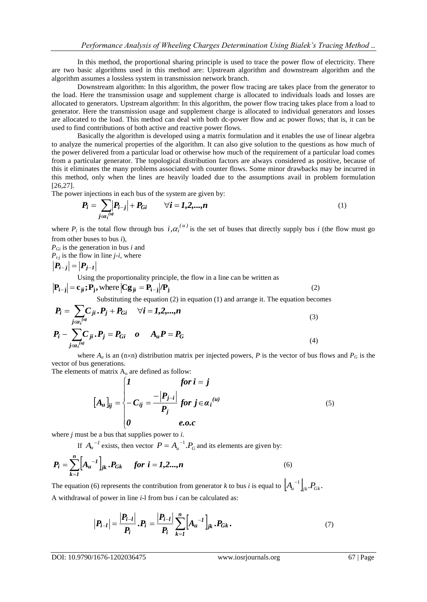In this method, the proportional sharing principle is used to trace the power flow of electricity. There are two basic algorithms used in this method are: Upstream algorithm and downstream algorithm and the algorithm assumes a lossless system in transmission network branch.

Downstream algorithm: In this algorithm, the power flow tracing are takes place from the generator to the load. Here the transmission usage and supplement charge is allocated to individuals loads and losses are allocated to generators. Upstream algorithm: In this algorithm, the power flow tracing takes place from a load to generator. Here the transmission usage and supplement charge is allocated to individual generators and losses are allocated to the load. This method can deal with both dc-power flow and ac power flows; that is, it can be used to find contributions of both active and reactive power flows.

Basically the algorithm is developed using a matrix formulation and it enables the use of linear algebra to analyze the numerical properties of the algorithm. It can also give solution to the questions as how much of the power delivered from a particular load or otherwise how much of the requirement of a particular load comes from a particular generator. The topological distribution factors are always considered as positive, because of this it eliminates the many problems associated with counter flows. Some minor drawbacks may be incurred in this method, only when the lines are heavily loaded due to the assumptions avail in problem formulation [26,27].

The power injections in each bus of the system are given by:

$$
P_i = \sum_{j \in a_i^{(u)}} |P_{i-j}| + P_{Gi} \qquad \forall i = 1, 2, ..., n
$$
 (1)

where  $P_i$  is the total flow through bus  $i, \alpha_i^{(u)}$  is the set of buses that directly supply bus *i* (the flow must go from other buses to bus *i*),

*PGi* is the generation in bus *i* and

 $P_{i-j}$  is the flow in line  $j-i$ , where

$$
\left|\boldsymbol{P}_{i-j}\right|=\left|\boldsymbol{P}_{j-1}\right|
$$

Using the proportionality principle, the flow in a line can be written as

$$
|\mathbf{P}_{i-j}| = \mathbf{c}_{ji}; \mathbf{P}_j
$$
, where  $|\mathbf{C}\mathbf{g}_{ji} = \mathbf{P}_{i-j}|/\mathbf{P}_j$  (2)  
Substituting the equation (2) in equation (1) and arrange it. The equation becomes

$$
P_i = \sum_{j \in a_i^{(u)}} C_{ji} P_j + P_{Gi} \quad \forall i = 1, 2, ..., n
$$
 (3)

$$
P_i - \sum_{j \in a_i^{(u)}} C_{ji} P_j = P_{Gi} \quad o \qquad A_u P = P_G \tag{4}
$$

where  $A_u$  is an (n×n) distribution matrix per injected powers, *P* is the vector of bus flows and  $P_G$  is the vector of bus generations.

The elements of matrix  $A_u$  are defined as follow:

$$
[A_u]_{ij} = \begin{cases} 1 & \text{for } i = j \\ -C_{ij} = \frac{-|P_{j-i}|}{P_j} & \text{for } j \in \alpha_i^{(u)} \\ 0 & \text{e.o.c} \end{cases}
$$
(5)

where *j* must be a bus that supplies power to *i*.

If  $A_u^{-1}$  exists, then vector  $P = A_u^{-1} \cdot P_G$  and its elements are given by:

$$
P_i = \sum_{k=1}^{n} \left[ A_u^{-1} \right]_{jk} . P_{Gk} \quad \text{for } i = 1, 2, ..., n
$$
 (6)

The equation (6) represents the contribution from generator *k* to bus *i* is equal to  $\left[A_{\mu}^{-1}\right]_{jk} P_{Gk}$ . A withdrawal of power in line *i*-l from bus *i* can be calculated as:

$$
|\boldsymbol{P}_{i-l}| = \frac{|\boldsymbol{P}_{i-l}|}{\boldsymbol{P}_i} \cdot \boldsymbol{P}_i = \frac{|\boldsymbol{P}_{i-l}|}{\boldsymbol{P}_i} \sum_{k=1}^n \Big[ A_u^{-1} \Big]_{jk} \cdot \boldsymbol{P}_{Gk} \,. \tag{7}
$$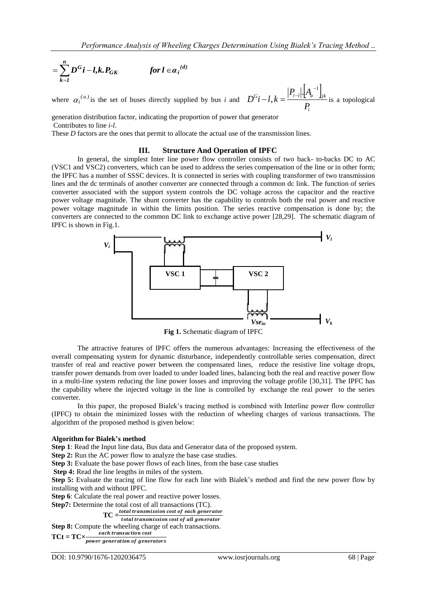$$
=\sum_{k=1}^n D^G i - l, k. P_{GK} \qquad \qquad \text{for } l \in \alpha_i^{(d)}
$$

where  $\alpha_i^{(u)}$  is the set of buses directly supplied by bus *i* and  $\left\|A_\mu^{-1}\right\|_n$ *i*  $G$  *i*  $I$   $I$ <sub>*i*</sub>  $\perp$   $\parallel$ <sup>*i*</sup> *i*-*l*|**<sup>t</sup>**</sup> $\perp$ <sup>*i*</sup> $\parallel$ *i* $k$ *P*  $P_{i-l}$ .  $A$  $D^G i - l, k$  $|A_{\mu}^{-1}|$ , i,  $-l, k = \frac{|I_{i-l}| \cdot |I_{i}}{2}$  is a topological

generation distribution factor, indicating the proportion of power that generator Contributes to line *i*-*l*.

These *D* factors are the ones that permit to allocate the actual use of the transmission lines.

#### **III. Structure And Operation of IPFC**

In general, the simplest Inter line power flow controller consists of two back- to-backs DC to AC (VSC1 and VSC2) converters, which can be used to address the series compensation of the line or in other form; the IPFC has a number of SSSC devices. It is connected in series with coupling transformer of two transmission lines and the dc terminals of another converter are connected through a common dc link. The function of series converter associated with the support system controls the DC voltage across the capacitor and the reactive power voltage magnitude. The shunt converter has the capability to controls both the real power and reactive power voltage magnitude in within the limits position. The series reactive compensation is done by; the converters are connected to the common DC link to exchange active power [28,29]. The schematic diagram of IPFC is shown in Fig.1.



**Fig 1.** Schematic diagram of IPFC

The attractive features of IPFC offers the numerous advantages: Increasing the effectiveness of the overall compensating system for dynamic disturbance, independently controllable series compensation, direct transfer of real and reactive power between the compensated lines, reduce the resistive line voltage drops, transfer power demands from over loaded to under loaded lines, balancing both the real and reactive power flow in a multi-line system reducing the line power losses and improving the voltage profile [30,31]. The IPFC has the capability where the injected voltage in the line is controlled by exchange the real power to the series converter.

In this paper, the proposed Bialek's tracing method is combined with Interline power flow controller (IPFC) to obtain the minimized losses with the reduction of wheeling charges of various transactions. The algorithm of the proposed method is given below:

#### **Algorithm for Bialek's method**

**Step 1**: Read the Input line data, Bus data and Generator data of the proposed system.

**Step 2:** Run the AC power flow to analyze the base case studies.

**Step 3:** Evaluate the base power flows of each lines, from the base case studies

**Step 4:** Read the line lengths in miles of the system.

**Step 5:** Evaluate the tracing of line flow for each line with Bialek's method and find the new power flow by installing with and without IPFC.

**Step 6**: Calculate the real power and reactive power losses.

**Step7:** Determine the total cost of all transactions (TC).

**TC** = total transmission cost of each generator

total transmission cost of all generator

**Step 8:** Compute the wheeling charge of each transactions.

**TCt = TC** $\times$  each transaction cost<br>power generation of generators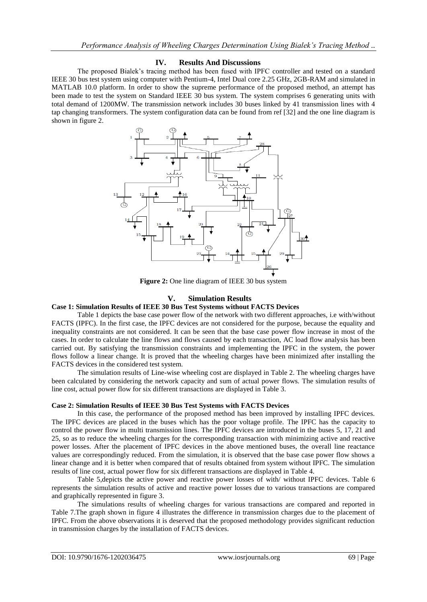## **IV. Results And Discussions**

The proposed Bialek's tracing method has been fused with IPFC controller and tested on a standard IEEE 30 bus test system using computer with Pentium-4, Intel Dual core 2.25 GHz, 2GB-RAM and simulated in MATLAB 10.0 platform. In order to show the supreme performance of the proposed method, an attempt has been made to test the system on Standard IEEE 30 bus system. The system comprises 6 generating units with total demand of 1200MW. The transmission network includes 30 buses linked by 41 transmission lines with 4 tap changing transformers. The system configuration data can be found from ref [32] and the one line diagram is shown in figure 2.



**Figure 2:** One line diagram of IEEE 30 bus system

## **V. Simulation Results**

## **Case 1: Simulation Results of IEEE 30 Bus Test Systems without FACTS Devices**

Table 1 depicts the base case power flow of the network with two different approaches, i.e with/without FACTS (IPFC). In the first case, the IPFC devices are not considered for the purpose, because the equality and inequality constraints are not considered. It can be seen that the base case power flow increase in most of the cases. In order to calculate the line flows and flows caused by each transaction, AC load flow analysis has been carried out. By satisfying the transmission constraints and implementing the IPFC in the system, the power flows follow a linear change. It is proved that the wheeling charges have been minimized after installing the FACTS devices in the considered test system.

The simulation results of Line-wise wheeling cost are displayed in Table 2. The wheeling charges have been calculated by considering the network capacity and sum of actual power flows. The simulation results of line cost, actual power flow for six different transactions are displayed in Table 3.

#### **Case 2: Simulation Results of IEEE 30 Bus Test Systems with FACTS Devices**

In this case, the performance of the proposed method has been improved by installing IPFC devices. The IPFC devices are placed in the buses which has the poor voltage profile. The IPFC has the capacity to control the power flow in multi transmission lines. The IPFC devices are introduced in the buses 5, 17, 21 and 25, so as to reduce the wheeling charges for the corresponding transaction with minimizing active and reactive power losses. After the placement of IPFC devices in the above mentioned buses, the overall line reactance values are correspondingly reduced. From the simulation, it is observed that the base case power flow shows a linear change and it is better when compared that of results obtained from system without IPFC. The simulation results of line cost, actual power flow for six different transactions are displayed in Table 4.

Table 5,depicts the active power and reactive power losses of with/ without IPFC devices. Table 6 represents the simulation results of active and reactive power losses due to various transactions are compared and graphically represented in figure 3.

The simulations results of wheeling charges for various transactions are compared and reported in Table 7.The graph shown in figure 4 illustrates the difference in transmission charges due to the placement of IPFC. From the above observations it is deserved that the proposed methodology provides significant reduction in transmission charges by the installation of FACTS devices.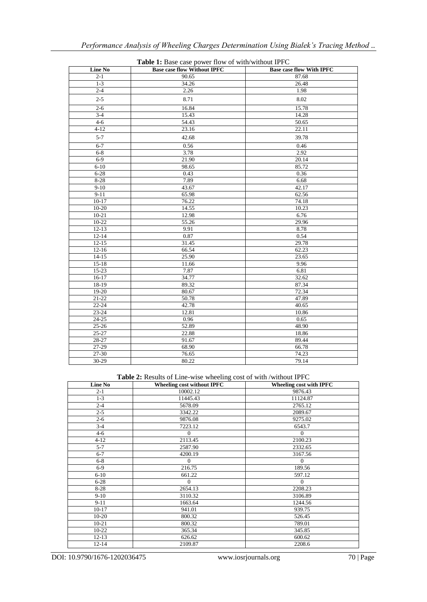| <b>Line No</b> | <b>Base case flow Without IPFC</b> | <b>Base case flow With IPFC</b> |
|----------------|------------------------------------|---------------------------------|
| $2 - 1$        | 90.65                              | 87.68                           |
| $1 - 3$        | 34.26                              | 26.48                           |
| $2 - 4$        | 2.26                               | 1.98                            |
| $2 - 5$        | 8.71                               | 8.02                            |
| $2 - 6$        | 16.84                              | 15.78                           |
| $3-4$          | 15.43                              | 14.28                           |
| $4 - 6$        | 54.43                              | 50.65                           |
| $4-12$         | 23.16                              | 22.11                           |
| $5 - 7$        | 42.68                              | 39.78                           |
| $6 - 7$        | 0.56                               | 0.46                            |
| $6 - 8$        | 3.78                               | 2.92                            |
| $6-9$          | 21.90                              | 20.14                           |
| $6 - 10$       | 98.65                              | 85.72                           |
| $6 - 28$       | 0.43                               | 0.36                            |
| 8-28           | 7.89                               | 6.68                            |
| $9-10$         | 43.67                              | 42.17                           |
| $9-11$         | 65.98                              | 62.56                           |
| $10-17$        | 76.22                              | 74.18                           |
| $10 - 20$      | 14.55                              | 10.23                           |
| $10 - 21$      | 12.98                              | 6.76                            |
| $10-22$        | 55.26                              | 29.96                           |
| $12 - 13$      | 9.91                               | 8.78                            |
| $12 - 14$      | 0.87                               | 0.54                            |
| $12 - 15$      | 31.45                              | 29.78                           |
| $12 - 16$      | 66.54                              | 62.23                           |
| $14-15$        | 25.90                              | 23.65                           |
| $15 - 18$      | 11.66                              | 9.96                            |
| $15 - 23$      | 7.87                               | 6.81                            |
| $16-17$        | 34.77                              | 32.62                           |
| 18-19          | 89.32                              | 87.34                           |
| $19-20$        | 80.67                              | 72.34                           |
| $21 - 22$      | 50.78                              | 47.89                           |
| 22-24          | 42.78                              | 40.65                           |
| 23-24          | 12.81                              | 10.86                           |
| $24 - 25$      | 0.96                               | 0.65                            |
| $25 - 26$      | 52.89                              | 48.90                           |
| 25-27          | 22.88                              | 18.86                           |
| 28-27          | 91.67                              | 89.44                           |
| $27-29$        | 68.90                              | 66.78                           |
| 27-30          | $\overline{76.65}$                 | 74.23                           |
| 30-29          | 80.22                              | 79.14                           |

**Table 1:** Base case power flow of with/without IPFC

**Table 2:** Results of Line-wise wheeling cost of with /without IPFC

| <b>Line No</b> | <b>Wheeling cost without IPFC</b> | Wheeling cost with IPFC |
|----------------|-----------------------------------|-------------------------|
| $2 - 1$        | 10002.12                          | 9876.43                 |
| $1 - 3$        | 11445.43                          | 11124.87                |
| $2 - 4$        | 5678.09                           | 2765.12                 |
| $2 - 5$        | 3342.22                           | 2089.67                 |
| $2 - 6$        | 9876.08                           | 9275.02                 |
| $3 - 4$        | 7223.12                           | 6543.7                  |
| $4 - 6$        | $\Omega$                          | $\Omega$                |
| $4 - 12$       | 2113.45                           | 2100.23                 |
| $5 - 7$        | 2587.90                           | 2332.65                 |
| $6 - 7$        | 4200.19                           | 3167.56                 |
| $6 - 8$        | $\mathbf{0}$                      | $\mathbf{0}$            |
| $6-9$          | 216.75                            | 189.56                  |
| $6 - 10$       | 661.22                            | 597.12                  |
| $6 - 28$       | $\theta$                          | $\theta$                |
| $8 - 28$       | 2654.13                           | 2208.23                 |
| $9-10$         | 3110.32                           | 3106.89                 |
| $9 - 11$       | 1663.64                           | 1244.56                 |
| $10-17$        | 941.01                            | 939.75                  |
| $10-20$        | 800.32                            | 526.45                  |
| $10 - 21$      | 800.32                            | 789.01                  |
| 10-22          | 365.34                            | 345.85                  |
| $12 - 13$      | 626.62                            | 600.62                  |
| $12 - 14$      | 2109.87                           | 2208.6                  |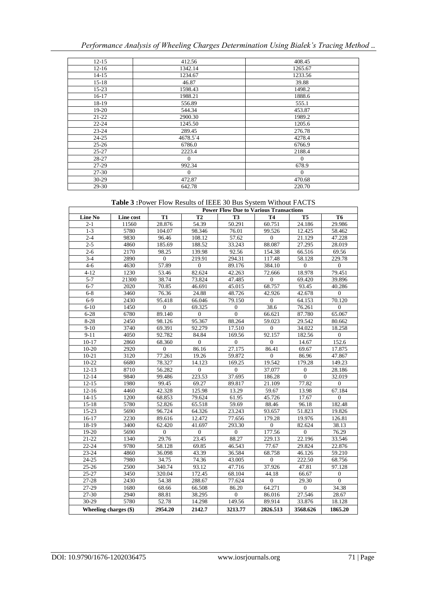| $12 - 15$ | 412.56   | 408.45         |
|-----------|----------|----------------|
| $12 - 16$ | 1342.14  | 1265.67        |
| $14-15$   | 1234.67  | 1233.56        |
| $15 - 18$ | 46.87    | 39.88          |
| $15-23$   | 1598.43  | 1498.2         |
| $16-17$   | 1988.21  | 1888.6         |
| 18-19     | 556.89   | 555.1          |
| $19-20$   | 544.34   | 453.87         |
| $21 - 22$ | 2900.30  | 1989.2         |
| $22 - 24$ | 1245.50  | 1205.6         |
| $23 - 24$ | 289.45   | 276.78         |
| $24 - 25$ | 4678.54  | 4278.4         |
| $25 - 26$ | 6786.0   | 6766.9         |
| $25 - 27$ | 2223.4   | 2188.4         |
| 28-27     | $\Omega$ | $\overline{0}$ |
| $27-29$   | 992.34   | 678.9          |
| 27-30     | $\Omega$ | $\mathbf{0}$   |
| 30-29     | 472.87   | 470.68         |
| 29-30     | 642.78   | 220.70         |

**Table 3 :**Power Flow Results of IEEE 30 Bus System Without FACTS

|                       |           | <b>Power Flow Due to Various Transactions</b> |                |                  |                  |                   |                  |
|-----------------------|-----------|-----------------------------------------------|----------------|------------------|------------------|-------------------|------------------|
| <b>Line No</b>        | Line cost | <b>T1</b>                                     | <b>T2</b>      | <b>T3</b>        | <b>T4</b>        | T <sub>5</sub>    | T <sub>6</sub>   |
| $2 - 1$               | 11560     | 28.876                                        | 54.39          | 50.291           | 60.751           | 24.186            | 29.986           |
| $1 - 3$               | 5780      | 104.07                                        | 98.346         | 76.01            | 99.526           | 12.425            | 58.462           |
| $2 - 4$               | 9830      | 96.46                                         | 108.12         | 57.62            | $\overline{0}$   | 21.129            | 47.228           |
| $2 - 5$               | 4860      | 185.69                                        | 188.52         | 33.243           | 88.087           | 27.295            | 28.019           |
| $2 - 6$               | 2170      | 98.25                                         | 139.98         | 92.56            | 154.38           | 66.516            | 69.56            |
| $3 - 4$               | 2890      | $\Omega$                                      | 219.91         | 294.31           | 117.48           | 58.128            | 229.78           |
| $4 - 6$               | 4630      | 57.89                                         | $\overline{0}$ | 89.176           | 384.10           | $\overline{0}$    | $\boldsymbol{0}$ |
| $4 - 12$              | 1230      | 53.46                                         | 82.624         | 42.263           | 72.666           | 18.978            | 79.451           |
| $5 - 7$               | 21300     | 38.74                                         | 73.824         | 47.485           | $\overline{0}$   | 69.420            | 39.896           |
| $6 - 7$               | 2020      | 70.85                                         | 46.691         | 45.015           | 68.757           | 93.45             | 40.286           |
| $6 - 8$               | 3460      | 76.36                                         | 24.88          | 48.726           | 42.926           | 42.678            | $\overline{0}$   |
| $6-9$                 | 2430      | 95.418                                        | 66.046         | 79.150           | $\overline{0}$   | 64.153            | 70.120           |
| $6 - 10$              | 1450      | $\mathbf{0}$                                  | 69.325         | $\boldsymbol{0}$ | 38.6             | 76.261            | $\mathbf{0}$     |
| $6 - 28$              | 6780      | 89.140                                        | $\mathbf{0}$   | $\overline{0}$   | 66.621           | 87.780            | 65.067           |
| $8 - 28$              | 2450      | 98.126                                        | 95.367         | 88.264           | 59.023           | 29.542            | 80.662           |
| $9-10$                | 3740      | 69.391                                        | 92.279         | 17.510           | $\Omega$         | 34.022            | 18.258           |
| $9-11$                | 4050      | 92.782                                        | 84.84          | 169.56           | 92.157           | 182.56            | $\overline{0}$   |
| $10 - 17$             | 2860      | 68.360                                        | $\mathbf{0}$   | $\boldsymbol{0}$ | $\boldsymbol{0}$ | 14.67             | 152.6            |
| $10 - 20$             | 2920      | $\overline{0}$                                | 86.16          | 27.175           | 86.41            | 69.67             | 17.875           |
| $10 - 21$             | 3120      | 77.261                                        | 19.26          | 59.872           | $\Omega$         | 86.96             | 47.867           |
| $10-22$               | 6680      | 78.327                                        | 14.123         | 169.25           | 19.542           | 179.28            | 149.23           |
| $12 - 13$             | 8710      | 56.282                                        | $\overline{0}$ | $\overline{0}$   | 37.077           | $\Omega$          | 28.186           |
| $12 - 14$             | 9840      | 99.486                                        | 223.53         | 37.695           | 186.28           | $\overline{0}$    | 32.019           |
| $12 - 15$             | 1980      | 99.45                                         | 69.27          | 89.817           | 21.109           | 77.82             | $\overline{0}$   |
| $12 - 16$             | 4460      | 42.328                                        | 125.98         | 13.29            | 59.67            | 13.98             | 67.184           |
| $14 - 15$             | 1200      | 68.853                                        | 79.624         | 61.95            | 45.726           | 17.67             | $\mathbf{0}$     |
| $15-18$               | 5780      | 52.826                                        | 65.518         | 59.69            | 88.46            | $\frac{1}{96.18}$ | 182.48           |
| $15-23$               | 5690      | 96.724                                        | 64.326         | 23.243           | 93.657           | 51.823            | 19.826           |
| $16-17$               | 2230      | 89.616                                        | 12.472         | 77.656           | 179.28           | 19.976            | 126.81           |
| 18-19                 | 3400      | 62.420                                        | 41.697         | 293.30           | $\overline{0}$   | 82.624            | 38.13            |
| 19-20                 | 5690      | $\mathbf{0}$                                  | $\mathbf{0}$   | $\boldsymbol{0}$ | 177.56           | $\boldsymbol{0}$  | 76.29            |
| $21 - 22$             | 1340      | 29.76                                         | 23.45          | 88.27            | 229.13           | 22.196            | 33.546           |
| $22 - 24$             | 9780      | 58.128                                        | 69.85          | 46.543           | 77.67            | 29.824            | 22.876           |
| 23-24                 | 4860      | 36.098                                        | 43.39          | 36.584           | 68.758           | 46.126            | 59.210           |
| $24 - 25$             | 7980      | 34.75                                         | 74.36          | 43.005           | $\overline{0}$   | 222.50            | 68.756           |
| $25 - 26$             | 2500      | 340.74                                        | 93.12          | 47.716           | 37.926           | 47.81             | 97.128           |
| 25-27                 | 3450      | 320.04                                        | 172.45         | 68.104           | 44.18            | 66.67             | $\boldsymbol{0}$ |
| 27-28                 | 2430      | 54.38                                         | 288.67         | 77.624           | $\boldsymbol{0}$ | 29.30             | $\theta$         |
| $27-29$               | 1680      | 68.66                                         | 66.508         | 86.20            | 64.271           | $\theta$          | 34.38            |
| 27-30                 | 2940      | 88.81                                         | 38.295         | $\overline{0}$   | 86.016           | 27.546            | 28.67            |
| 30-29                 | 5780      | 52.78                                         | 14.298         | 149.56           | 89.914           | 33.876            | 18.128           |
| Wheeling charges (\$) |           | 2954.20                                       | 2142.7         | 3213.77          | 2826.513         | 3568.626          | 1865.20          |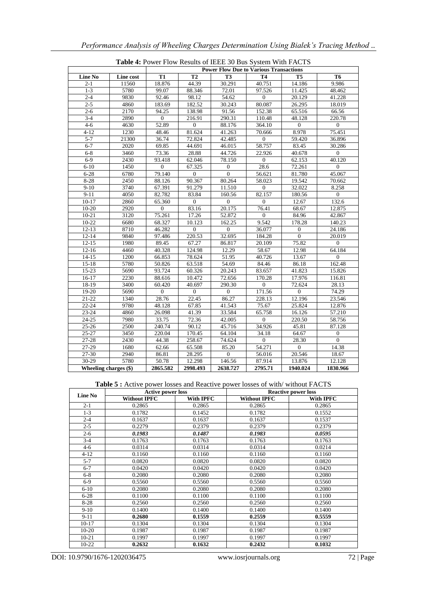|                       |           |                  |                  |                  | <b>L'able 4.</b> L'OWEL L'IOW RESULTS OF LEEE JO DUS SYSTEM WITH L'ACTS<br><b>Power Flow Due to Various Transactions</b> |                  |                     |
|-----------------------|-----------|------------------|------------------|------------------|--------------------------------------------------------------------------------------------------------------------------|------------------|---------------------|
| <b>Line No</b>        | Line cost | <b>T1</b>        | T2               | T <sub>3</sub>   | <b>T4</b>                                                                                                                | <b>T5</b>        | T <sub>6</sub>      |
| $2 - 1$               | 11560     | 18.876           | 44.39            | 30.291           | 40.751                                                                                                                   | 14.186           | 9.986               |
| $1 - 3$               | 5780      | 99.07            | 88.346           | 72.01            | 97.526                                                                                                                   | 11.425           | 48.462              |
| $2 - 4$               | 9830      | 92.46            | 98.12            | 54.62            | $\overline{0}$                                                                                                           | 20.129           | 41.228              |
| $2 - 5$               | 4860      | 183.69           | 182.52           | 30.243           | 80.087                                                                                                                   | 26.295           | 18.019              |
| $2 - 6$               | 2170      | 94.25            | 138.98           | 91.56            | 152.38                                                                                                                   | 65.516           | 66.56               |
| $3-4$                 | 2890      | $\overline{0}$   | 216.91           | 290.31           | 110.48                                                                                                                   | 48.128           | $\overline{220.78}$ |
| $4 - 6$               | 4630      | 52.89            | $\overline{0}$   | 88.176           | 364.10                                                                                                                   | $\overline{0}$   | $\overline{0}$      |
| $4 - 12$              | 1230      | 48.46            | 81.624           | 41.263           | 70.666                                                                                                                   | 8.978            | 75.451              |
| $5 - 7$               | 21300     | 36.74            | 72.824           | 42.485           | $\overline{0}$                                                                                                           | 59.420           | 36.896              |
| $6 - 7$               | 2020      | 69.85            | 44.691           | 46.015           | 58.757                                                                                                                   | 83.45            | 30.286              |
| $6 - 8$               | 3460      | 73.36            | 28.88            | 44.726           | 22.926                                                                                                                   | 40.678           | $\overline{0}$      |
| $6-9$                 | 2430      | 93.418           | 62.046           | 78.150           | $\overline{0}$                                                                                                           | 62.153           | 40.120              |
| $6 - 10$              | 1450      | $\boldsymbol{0}$ | 67.325           | $\boldsymbol{0}$ | 28.6                                                                                                                     | 72.261           | $\mathbf{0}$        |
| $6 - 28$              | 6780      | 79.140           | $\mathbf{0}$     | $\overline{0}$   | 56.621                                                                                                                   | 81.780           | 45.067              |
| $8 - 28$              | 2450      | 88.126           | 90.367           | 80.264           | 58.023                                                                                                                   | 19.542           | 70.662              |
| $9 - 10$              | 3740      | 67.391           | 91.279           | 11.510           | $\boldsymbol{0}$                                                                                                         | 32.022           | 8.258               |
| $9 - 11$              | 4050      | 82.782           | 83.84            | 160.56           | 82.157                                                                                                                   | 180.56           | $\Omega$            |
| $10-17$               | 2860      | 65.360           | $\overline{0}$   | $\Omega$         | $\overline{0}$                                                                                                           | 12.67            | 132.6               |
| $10-20$               | 2920      | $\mathbf{0}$     | 83.16            | 20.175           | 76.41                                                                                                                    | 68.67            | 12.875              |
| $10 - 21$             | 3120      | 75.261           | 17.26            | 52.872           | $\overline{0}$                                                                                                           | 84.96            | 42.867              |
| $10 - 22$             | 6680      | 68.327           | 10.123           | 162.25           | 9.542                                                                                                                    | 178.28           | 140.23              |
| $12 - 13$             | 8710      | 46.282           | $\boldsymbol{0}$ | $\boldsymbol{0}$ | 36.077                                                                                                                   | $\boldsymbol{0}$ | 24.186              |
| $12 - 14$             | 9840      | 97.486           | 220.53           | 32.695           | 184.28                                                                                                                   | $\overline{0}$   | 20.019              |
| $12 - 15$             | 1980      | 89.45            | 67.27            | 86.817           | 20.109                                                                                                                   | 75.82            | $\overline{0}$      |
| $12 - 16$             | 4460      | 40.328           | 124.98           | 12.29            | 58.67                                                                                                                    | 12.98            | 64.184              |
| $14 - 15$             | 1200      | 66.853           | 78.624           | 51.95            | 40.726                                                                                                                   | 13.67            | $\overline{0}$      |
| $15 - 18$             | 5780      | 50.826           | 63.518           | 54.69            | 84.46                                                                                                                    | 86.18            | 162.48              |
| 15-23                 | 5690      | 93.724           | 60.326           | 20.243           | 83.657                                                                                                                   | 41.823           | 15.826              |
| $16-17$               | 2230      | 88.616           | 10.472           | 72.656           | 170.28                                                                                                                   | 17.976           | 116.81              |
| 18-19                 | 3400      | 60.420           | 40.697           | 290.30           | $\overline{0}$                                                                                                           | 72.624           | 28.13               |
| 19-20                 | 5690      | $\mathbf{0}$     | $\mathbf{0}$     | $\mathbf{0}$     | 171.56                                                                                                                   | $\mathbf{0}$     | 74.29               |
| $21 - 22$             | 1340      | 28.76            | 22.45            | 86.27            | 228.13                                                                                                                   | 12.196           | 23.546              |
| $22 - 24$             | 9780      | 48.128           | 67.85            | 41.543           | 75.67                                                                                                                    | 25.824           | 12.876              |
| $23 - 24$             | 4860      | 26.098           | 41.39            | 33.584           | 65.758                                                                                                                   | 16.126           | 57.210              |
| $24 - 25$             | 7980      | 33.75            | 72.36            | 42.005           | $\mathbf{0}$                                                                                                             | 220.50           | 58.756              |
| $25 - 26$             | 2500      | 240.74           | 90.12            | 45.716           | 34.926                                                                                                                   | 45.81            | 87.128              |
| $25 - 27$             | 3450      | 220.04           | 170.45           | 64.104           | 34.18                                                                                                                    | 64.67            | $\overline{0}$      |
| 27-28                 | 2430      | 44.38            | 258.67           | 74.624           | $\boldsymbol{0}$                                                                                                         | 28.30            | $\overline{0}$      |
| 27-29                 | 1680      | 62.66            | 65.508           | 85.20            | 54.271                                                                                                                   | $\overline{0}$   | 14.38               |
| 27-30                 | 2940      | 86.81            | 28.295           | $\overline{0}$   | 56.016                                                                                                                   | 20.546           | 18.67               |
| 30-29                 | 5780      | 50.78            | 12.298           | 146.56           | 87.914                                                                                                                   | 13.876           | 12.128              |
| Wheeling charges (\$) |           | 2865.582         | 2998.493         | 2638.727         | 2795.71                                                                                                                  | 1940.024         | 1830.966            |

**Table 4:** Power Flow Results of IEEE 30 Bus System With FACTS

Table 5 : Active power losses and Reactive power losses of with/without FACTS

| Line No   | <b>Active power loss</b> |           |                     | <b>Reactive power loss</b> |
|-----------|--------------------------|-----------|---------------------|----------------------------|
|           | <b>Without IPFC</b>      | With IPFC | <b>Without IPFC</b> | <b>With IPFC</b>           |
| $2 - 1$   | 0.2865                   | 0.2865    | 0.2865              | 0.2865                     |
| $1 - 3$   | 0.1782                   | 0.1452    | 0.1782              | 0.1552                     |
| $2 - 4$   | 0.1637                   | 0.1637    | 0.1637              | 0.1537                     |
| $2 - 5$   | 0.2279                   | 0.2379    | 0.2379              | 0.2379                     |
| $2 - 6$   | 0.1983                   | 0.1487    | 0.1983              | 0.0595                     |
| $3-4$     | 0.1763                   | 0.1763    | 0.1763              | 0.1763                     |
| $4 - 6$   | 0.0314                   | 0.0314    | 0.0314              | 0.0214                     |
| $4 - 12$  | 0.1160                   | 0.1160    | 0.1160              | 0.1160                     |
| $5 - 7$   | 0.0820                   | 0.0820    | 0.0820              | 0.0820                     |
| $6 - 7$   | 0.0420                   | 0.0420    | 0.0420              | 0.0420                     |
| $6 - 8$   | 0.2080                   | 0.2080    | 0.2080              | 0.2080                     |
| $6-9$     | 0.5560                   | 0.5560    | 0.5560              | 0.5560                     |
| $6 - 10$  | 0.2080                   | 0.2080    | 0.2080              | 0.2080                     |
| $6 - 28$  | 0.1100                   | 0.1100    | 0.1100              | 0.1100                     |
| $8 - 28$  | 0.2560                   | 0.2560    | 0.2560              | 0.2560                     |
| $9-10$    | 0.1400                   | 0.1400    | 0.1400              | 0.1400                     |
| $9 - 11$  | 0.2680                   | 0.1559    | 0.2559              | 0.5559                     |
| $10-17$   | 0.1304                   | 0.1304    | 0.1304              | 0.1304                     |
| $10-20$   | 0.1987                   | 0.1987    | 0.1987              | 0.1987                     |
| $10 - 21$ | 0.1997                   | 0.1997    | 0.1997              | 0.1997                     |
| $10-22$   | 0.2632                   | 0.1632    | 0.2432              | 0.1032                     |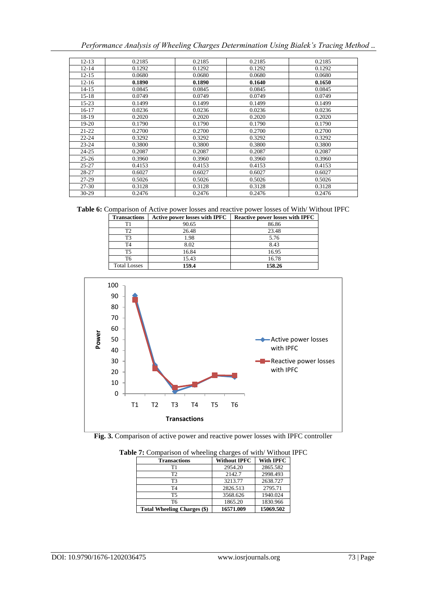| $12 - 13$ | 0.2185 | 0.2185 | 0.2185 | 0.2185 |
|-----------|--------|--------|--------|--------|
| $12 - 14$ | 0.1292 | 0.1292 | 0.1292 | 0.1292 |
| $12 - 15$ | 0.0680 | 0.0680 | 0.0680 | 0.0680 |
| $12 - 16$ | 0.1890 | 0.1890 | 0.1640 | 0.1650 |
| $14 - 15$ | 0.0845 | 0.0845 | 0.0845 | 0.0845 |
| $15-18$   | 0.0749 | 0.0749 | 0.0749 | 0.0749 |
| $15 - 23$ | 0.1499 | 0.1499 | 0.1499 | 0.1499 |
| 16-17     | 0.0236 | 0.0236 | 0.0236 | 0.0236 |
| 18-19     | 0.2020 | 0.2020 | 0.2020 | 0.2020 |
| 19-20     | 0.1790 | 0.1790 | 0.1790 | 0.1790 |
| $21 - 22$ | 0.2700 | 0.2700 | 0.2700 | 0.2700 |
| $22 - 24$ | 0.3292 | 0.3292 | 0.3292 | 0.3292 |
| $23 - 24$ | 0.3800 | 0.3800 | 0.3800 | 0.3800 |
| 24-25     | 0.2087 | 0.2087 | 0.2087 | 0.2087 |
| $25 - 26$ | 0.3960 | 0.3960 | 0.3960 | 0.3960 |
| $25 - 27$ | 0.4153 | 0.4153 | 0.4153 | 0.4153 |
| 28-27     | 0.6027 | 0.6027 | 0.6027 | 0.6027 |
| 27-29     | 0.5026 | 0.5026 | 0.5026 | 0.5026 |
| 27-30     | 0.3128 | 0.3128 | 0.3128 | 0.3128 |
| $30-29$   | 0.2476 | 0.2476 | 0.2476 | 0.2476 |

| <b>Transactions</b> | <b>Active power losses with IPFC</b> | <b>Reactive power losses with IPFC</b> |
|---------------------|--------------------------------------|----------------------------------------|
| Τ1                  | 90.65                                | 86.86                                  |
| T2                  | 26.48                                | 23.48                                  |
| T3                  | 1.98                                 | 5.76                                   |
| T4                  | 8.02                                 | 8.43                                   |
| Т5                  | 16.84                                | 16.95                                  |
| Т6                  | 15.43                                | 16.78                                  |
| <b>Total Losses</b> | 159.4                                | 158.26                                 |





| <b>Transactions</b>                | <b>Without IPFC</b> | <b>With IPFC</b> |
|------------------------------------|---------------------|------------------|
| T1                                 | 2954.20             | 2865.582         |
| T <sub>2</sub>                     | 2142.7              | 2998.493         |
| T <sub>3</sub>                     | 3213.77             | 2638.727         |
| T4                                 | 2826.513            | 2795.71          |
| T5                                 | 3568.626            | 1940.024         |
| T6                                 | 1865.20             | 1830.966         |
| <b>Total Wheeling Charges (\$)</b> | 16571.009           | 15069.502        |

**Table 7:** Comparison of wheeling charges of with/ Without IPFC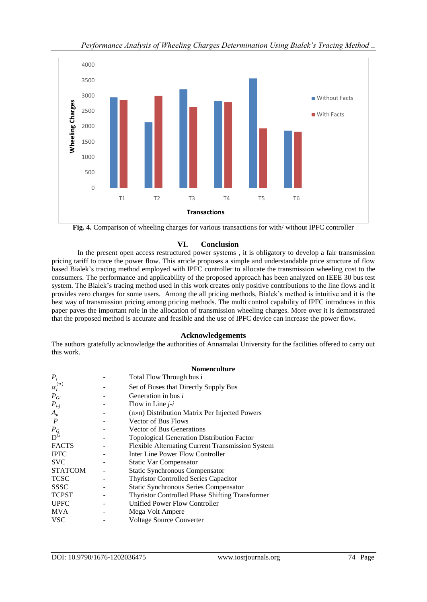

**Fig. 4.** Comparison of wheeling charges for various transactions for with/ without IPFC controller

## **VI. Conclusion**

In the present open access restructured power systems , it is obligatory to develop a fair transmission pricing tariff to trace the power flow. This article proposes a simple and understandable price structure of flow based Bialek's tracing method employed with IPFC controller to allocate the transmission wheeling cost to the consumers. The performance and applicability of the proposed approach has been analyzed on IEEE 30 bus test system. The Bialek's tracing method used in this work creates only positive contributions to the line flows and it provides zero charges for some users. Among the all pricing methods, Bialek's method is intuitive and it is the best way of transmission pricing among pricing methods. The multi control capability of IPFC introduces in this paper paves the important role in the allocation of transmission wheeling charges. More over it is demonstrated that the proposed method is accurate and feasible and the use of IPFC device can increase the power flow**.**

## **Acknowledgements**

The authors gratefully acknowledge the authorities of Annamalai University for the facilities offered to carry out this work.

|                         | <b>Nomenculture</b>                                    |
|-------------------------|--------------------------------------------------------|
| $P_i$                   | Total Flow Through bus i                               |
| $\alpha_i^{(u)}$        | Set of Buses that Directly Supply Bus                  |
| $P_{Gi}$                | Generation in bus <i>i</i>                             |
| $P_{i-j}$               | Flow in Line $j-i$                                     |
| $A_u$                   | (n×n) Distribution Matrix Per Injected Powers          |
| $\boldsymbol{P}$        | <b>Vector of Bus Flows</b>                             |
| $P_G$<br>D <sup>G</sup> | <b>Vector of Bus Generations</b>                       |
|                         | Topological Generation Distribution Factor             |
| <b>FACTS</b>            | Flexible Alternating Current Transmission System       |
| <b>IPFC</b>             | Inter Line Power Flow Controller                       |
| <b>SVC</b>              | <b>Static Var Compensator</b>                          |
| <b>STATCOM</b>          | <b>Static Synchronous Compensator</b>                  |
| <b>TCSC</b>             | <b>Thyristor Controlled Series Capacitor</b>           |
| <b>SSSC</b>             | <b>Static Synchronous Series Compensator</b>           |
| <b>TCPST</b>            | <b>Thyristor Controlled Phase Shifting Transformer</b> |
| <b>UPFC</b>             | Unified Power Flow Controller                          |
| <b>MVA</b>              | Mega Volt Ampere                                       |
| VSC                     | <b>Voltage Source Converter</b>                        |